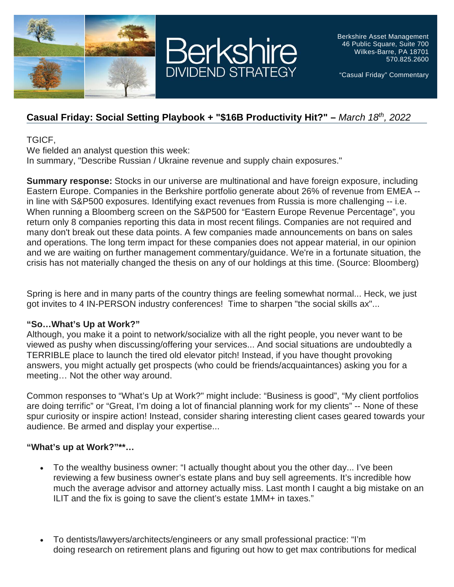



Berkshire Asset Management 46 Public Square, Suite 700 Wilkes-Barre, PA 18701 570.825.2600

"Casual Friday" Commentary

## **Casual Friday: Social Setting Playbook + "\$16B Productivity Hit?" –** *March 18th, 2022*

TGICF,

We fielded an analyst question this week:

In summary, "Describe Russian / Ukraine revenue and supply chain exposures."

**Summary response:** Stocks in our universe are multinational and have foreign exposure, including Eastern Europe. Companies in the Berkshire portfolio generate about 26% of revenue from EMEA - in line with S&P500 exposures. Identifying exact revenues from Russia is more challenging -- i.e. When running a Bloomberg screen on the S&P500 for "Eastern Europe Revenue Percentage", you return only 8 companies reporting this data in most recent filings. Companies are not required and many don't break out these data points. A few companies made announcements on bans on sales and operations. The long term impact for these companies does not appear material, in our opinion and we are waiting on further management commentary/guidance. We're in a fortunate situation, the crisis has not materially changed the thesis on any of our holdings at this time. (Source: Bloomberg)

Spring is here and in many parts of the country things are feeling somewhat normal... Heck, we just got invites to 4 IN-PERSON industry conferences! Time to sharpen "the social skills ax"...

## **"So…What's Up at Work?"**

Although, you make it a point to network/socialize with all the right people, you never want to be viewed as pushy when discussing/offering your services... And social situations are undoubtedly a TERRIBLE place to launch the tired old elevator pitch! Instead, if you have thought provoking answers, you might actually get prospects (who could be friends/acquaintances) asking you for a meeting… Not the other way around.

Common responses to "What's Up at Work?" might include: "Business is good", "My client portfolios are doing terrific" or "Great, I'm doing a lot of financial planning work for my clients" -- None of these spur curiosity or inspire action! Instead, consider sharing interesting client cases geared towards your audience. Be armed and display your expertise...

## **"What's up at Work?"\*\*…**

- To the wealthy business owner: "I actually thought about you the other day... I've been reviewing a few business owner's estate plans and buy sell agreements. It's incredible how much the average advisor and attorney actually miss. Last month I caught a big mistake on an ILIT and the fix is going to save the client's estate 1MM+ in taxes."
- To dentists/lawyers/architects/engineers or any small professional practice: "I'm doing research on retirement plans and figuring out how to get max contributions for medical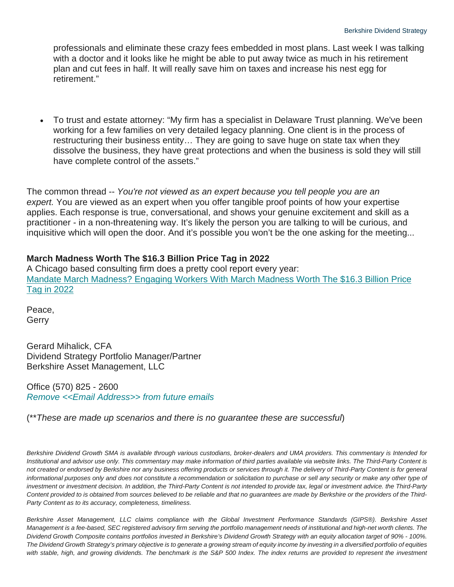professionals and eliminate these crazy fees embedded in most plans. Last week I was talking with a doctor and it looks like he might be able to put away twice as much in his retirement plan and cut fees in half. It will really save him on taxes and increase his nest egg for retirement."

• To trust and estate attorney: "My firm has a specialist in Delaware Trust planning. We've been working for a few families on very detailed legacy planning. One client is in the process of restructuring their business entity… They are going to save huge on state tax when they dissolve the business, they have great protections and when the business is sold they will still have complete control of the assets."

The common thread -- *You're not viewed as an expert because you tell people you are an expert.* You are viewed as an expert when you offer tangible proof points of how your expertise applies. Each response is true, conversational, and shows your genuine excitement and skill as a practitioner - in a non-threatening way. It's likely the person you are talking to will be curious, and inquisitive which will open the door. And it's possible you won't be the one asking for the meeting...

## **March Madness Worth The \$16.3 Billion Price Tag in 2022**

A Chicago based consulting firm does a pretty cool report every year: [Mandate March Madness? Engaging Workers With March Madness Worth The \\$16.3 Billion Price](https://www.challengergray.com/blog/mandate-march-madness-engaging-workers-with-march-madness-worth-the-16-3-billion-price-tag-in-2022/)  [Tag in 2022](https://www.challengergray.com/blog/mandate-march-madness-engaging-workers-with-march-madness-worth-the-16-3-billion-price-tag-in-2022/)

Peace, Gerry

Gerard Mihalick, CFA Dividend Strategy Portfolio Manager/Partner Berkshire Asset Management, LLC

Office (570) 825 - 2600 *Remove [<<Email Address>> from future emails](https://berkmgt.us2.list-manage.com/unsubscribe?u=ebe00755fc297a2ec6dd84aa2&id=c7289ec4e6&e=%5bUNIQID%5d&c=14c5943516)*

(\*\**These are made up scenarios and there is no guarantee these are successful*)

*Berkshire Dividend Growth SMA is available through various custodians, broker-dealers and UMA providers. This commentary is Intended for Institutional and advisor use only. This commentary may make information of third parties available via website links. The Third-Party Content is not created or endorsed by Berkshire nor any business offering products or services through it. The delivery of Third-Party Content is for general*  informational purposes only and does not constitute a recommendation or solicitation to purchase or sell any security or make any other type of investment or investment decision. In addition, the Third-Party Content is not intended to provide tax, legal or investment advice. the Third-Party *Content provided to is obtained from sources believed to be reliable and that no guarantees are made by Berkshire or the providers of the Third-Party Content as to its accuracy, completeness, timeliness.*

*Berkshire Asset Management, LLC claims compliance with the Global Investment Performance Standards (GIPS®). Berkshire Asset Management is a fee-based, SEC registered advisory firm serving the portfolio management needs of institutional and high-net worth clients. The Dividend Growth Composite contains portfolios invested in Berkshire's Dividend Growth Strategy with an equity allocation target of 90% - 100%. The Dividend Growth Strategy's primary objective is to generate a growing stream of equity income by investing in a diversified portfolio of equities*  with stable, high, and growing dividends. The benchmark is the S&P 500 Index. The index returns are provided to represent the investment